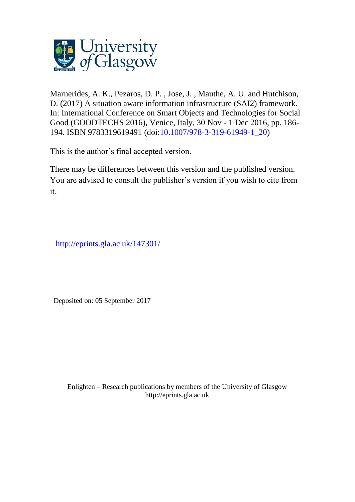

Marnerides, A. K., Pezaros, D. P. , Jose, J. , Mauthe, A. U. and Hutchison, D. (2017) A situation aware information infrastructure (SAI2) framework. In: International Conference on Smart Objects and Technologies for Social Good (GOODTECHS 2016), Venice, Italy, 30 Nov - 1 Dec 2016, pp. 186- 194. ISBN 9783319619491 (doi[:10.1007/978-3-319-61949-1\\_20\)](http://dx.doi.org/10.1007/978-3-319-61949-1_20)

This is the author's final accepted version.

There may be differences between this version and the published version. You are advised to consult the publisher's version if you wish to cite from it.

<http://eprints.gla.ac.uk/147301/>

Deposited on: 05 September 2017

Enlighten – Research publications by members of the University of Glasgo[w](http://eprints.gla.ac.uk/) [http://eprints.gla.ac.uk](http://eprints.gla.ac.uk/)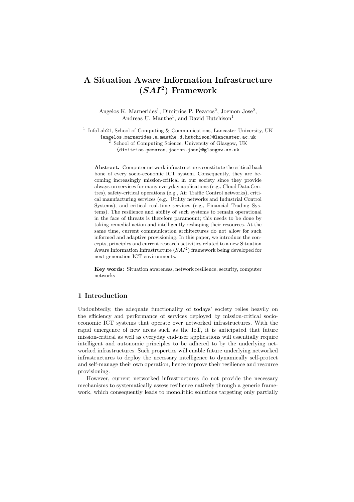# A Situation Aware Information Infrastructure (*SAI*<sup>2</sup>) Framework

Angelos K. Marnerides<sup>1</sup>, Dimitrios P. Pezaros<sup>2</sup>, Joemon Jose<sup>2</sup>, Andreas U. Mauthe<sup>1</sup>, and David Hutchison<sup>1</sup>

<sup>1</sup> InfoLab21, School of Computing & Communications, Lancaster University, UK {angelos.marnerides,a.mauthe,d.hutchison}@lancaster.ac.uk <sup>2</sup> School of Computing Science, University of Glasgow, UK {dimitrios.pezaros,joemon.jose}@glasgow.ac.uk

Abstract. Computer network infrastructures constitute the critical backbone of every socio-economic ICT system. Consequently, they are becoming increasingly mission-critical in our society since they provide always-on services for many everyday applications (e.g., Cloud Data Centres), safety-critical operations (e.g., Air Traffic Control networks), critical manufacturing services (e.g., Utility networks and Industrial Control Systems), and critical real-time services (e.g., Financial Trading Systems). The resilience and ability of such systems to remain operational in the face of threats is therefore paramount; this needs to be done by taking remedial action and intelligently reshaping their resources. At the same time, current communication architectures do not allow for such informed and adaptive provisioning. In this paper, we introduce the concepts, principles and current research activities related to a new Situation Aware Information Infrastructure (*SAI*<sup>2</sup>) framework being developed for next generation ICT environments.

Key words: Situation awareness, network resilience, security, computer networks

#### 1 Introduction

Undoubtedly, the adequate functionality of todays' society relies heavily on the efficiency and performance of services deployed by mission-critical socioeconomic ICT systems that operate over networked infrastructures. With the rapid emergence of new areas such as the IoT, it is anticipated that future mission-critical as well as everyday end-user applications will essentially require intelligent and autonomic principles to be adhered to by the underlying networked infrastructures. Such properties will enable future underlying networked infrastructures to deploy the necessary intelligence to dynamically self-protect and self-manage their own operation, hence improve their resilience and resource provisioning.

However, current networked infrastructures do not provide the necessary mechanisms to systematically assess resilience natively through a generic framework, which consequently leads to monolithic solutions targeting only partially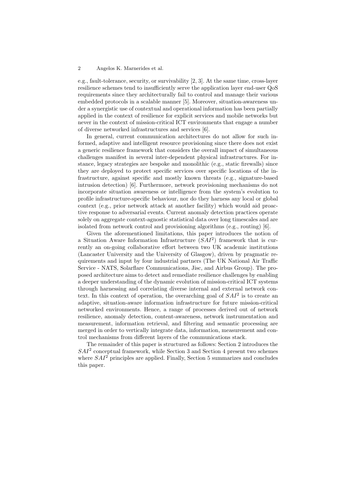#### 2 Angelos K. Marnerides et al.

e.g., fault-tolerance, security, or survivability [2, 3]. At the same time, cross-layer resilience schemes tend to insufficiently serve the application layer end-user QoS requirements since they architecturally fail to control and manage their various embedded protocols in a scalable manner [5]. Moreover, situation-awareness under a synergistic use of contextual and operational information has been partially applied in the context of resilience for explicit services and mobile networks but never in the context of mission-critical ICT environments that engage a number of diverse networked infrastructures and services [6].

In general, current communication architectures do not allow for such informed, adaptive and intelligent resource provisioning since there does not exist a generic resilience framework that considers the overall impact of simultaneous challenges manifest in several inter-dependent physical infrastructures. For instance, legacy strategies are bespoke and monolithic (e.g., static firewalls) since they are deployed to protect specific services over specific locations of the infrastructure, against specific and mostly known threats (e.g., signature-based intrusion detection) [6]. Furthermore, network provisioning mechanisms do not incorporate situation awareness or intelligence from the system's evolution to profile infrastructure-specific behaviour, nor do they harness any local or global context (e.g., prior network attack at another facility) which would aid proactive response to adversarial events. Current anomaly detection practices operate solely on aggregate context-agnostic statistical data over long timescales and are isolated from network control and provisioning algorithms (e.g., routing) [6].

Given the aforementioned limitations, this paper introduces the notion of a Situation Aware Information Infrastructure (*SAI*<sup>2</sup>) framework that is currently an on-going collaborative effort between two UK academic institutions (Lancaster University and the University of Glasgow), driven by pragmatic requirements and input by four industrial partners (The UK National Air Traffic Service - NATS, Solarflare Communications, Jisc, and Airbus Group). The proposed architecture aims to detect and remediate resilience challenges by enabling a deeper understanding of the dynamic evolution of mission-critical ICT systems through harnessing and correlating diverse internal and external network context. In this context of operation, the overarching goal of *SAI*<sup>2</sup> is to create an adaptive, situation-aware information infrastructure for future mission-critical networked environments. Hence, a range of processes derived out of network resilience, anomaly detection, content-awareness, network instrumentation and measurement, information retrieval, and filtering and semantic processing are merged in order to vertically integrate data, information, measurement and control mechanisms from different layers of the communications stack.

The remainder of this paper is structured as follows: Section 2 introduces the *SAI*<sup>2</sup> conceptual framework, while Section 3 and Section 4 present two schemes where  $S\mathcal{A}I^2$  principles are applied. Finally, Section 5 summarizes and concludes this paper.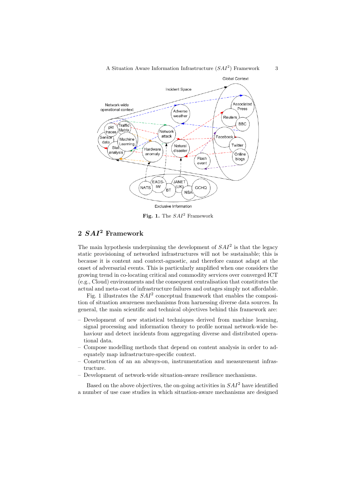

Fig. 1. The *SAI*<sup>2</sup> Framework

# 2 *SAI*<sup>2</sup> Framework

The main hypothesis underpinning the development of *SAI*<sup>2</sup> is that the legacy static provisioning of networked infrastructures will not be sustainable; this is because it is content and context-agnostic, and therefore cannot adapt at the onset of adversarial events. This is particularly amplified when one considers the growing trend in co-locating critical and commodity services over converged ICT (e.g., Cloud) environments and the consequent centralisation that constitutes the actual and meta-cost of infrastructure failures and outages simply not affordable.

Fig. 1 illustrates the *SAI*<sup>2</sup> conceptual framework that enables the composition of situation awareness mechanisms from harnessing diverse data sources. In general, the main scientific and technical objectives behind this framework are:

- Development of new statistical techniques derived from machine learning, signal processing and information theory to profile normal network-wide behaviour and detect incidents from aggregating diverse and distributed operational data.
- Compose modelling methods that depend on content analysis in order to adequately map infrastructure-specific context.
- Construction of an an always-on, instrumentation and measurement infrastructure.
- Development of network-wide situation-aware resilience mechanisms.

Based on the above objectives, the on-going activities in *SAI*<sup>2</sup> have identified a number of use case studies in which situation-aware mechanisms are designed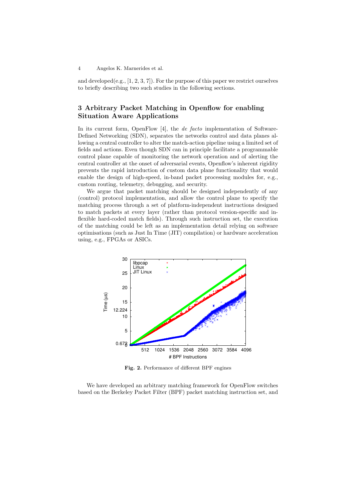#### 4 Angelos K. Marnerides et al.

and developed(e.g., [1, 2, 3, 7]). For the purpose of this paper we restrict ourselves to briefly describing two such studies in the following sections.

# 3 Arbitrary Packet Matching in Openflow for enabling Situation Aware Applications

In its current form, OpenFlow [4], the *de facto* implementation of Software-Defined Networking (SDN), separates the networks control and data planes allowing a central controller to alter the match-action pipeline using a limited set of fields and actions. Even though SDN can in principle facilitate a programmable control plane capable of monitoring the network operation and of alerting the central controller at the onset of adversarial events, Openflow's inherent rigidity prevents the rapid introduction of custom data plane functionality that would enable the design of high-speed, in-band packet processing modules for, e.g., custom routing, telemetry, debugging, and security.

We argue that packet matching should be designed independently of any (control) protocol implementation, and allow the control plane to specify the matching process through a set of platform-independent instructions designed to match packets at every layer (rather than protocol version-specific and inflexible hard-coded match fields). Through such instruction set, the execution of the matching could be left as an implementation detail relying on software optimisations (such as Just In Time (JIT) compilation) or hardware acceleration using, e.g., FPGAs or ASICs.



Fig. 2. Performance of different BPF engines

We have developed an arbitrary matching framework for OpenFlow switches based on the Berkeley Packet Filter (BPF) packet matching instruction set, and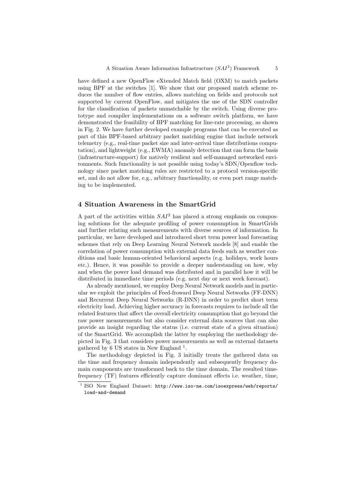have defined a new OpenFlow eXtended Match field (OXM) to match packets using BPF at the switches [1]. We show that our proposed match scheme reduces the number of flow entries, allows matching on fields and protocols not supported by current OpenFlow, and mitigates the use of the SDN controller for the classification of packets unmatchable by the switch. Using diverse prototype and compiler implementations on a software switch platform, we have demonstrated the feasibility of BPF matching for line-rate processing, as shown in Fig. 2. We have further developed example programs that can be executed as part of this BPF-based arbitrary packet matching engine that include network telemetry (e.g., real-time packet size and inter-arrival time distributions computation), and lightweight (e.g., EWMA) anomaly detection that can form the basis (infrastructure-support) for natively resilient and self-managed networked environments. Such functionality is not possible using today's SDN/Openflow technology since packet matching rules are restricted to a protocol version-specific set, and do not allow for, e.g., arbitrary functionality, or even port range matching to be implemented.

#### 4 Situation Awareness in the SmartGrid

A part of the activities within *SAI*<sup>2</sup> has placed a strong emphasis on composing solutions for the adequate profiling of power consumption in SmartGrids and further relating such measurements with diverse sources of information. In particular, we have developed and introduced short term power load forecasting schemes that rely on Deep Learning Neural Network models [8] and enable the correlation of power consumption with external data feeds such as weather conditions and basic human-oriented behavioral aspects (e.g. holidays, work hours etc.). Hence, it was possible to provide a deeper understanding on how, why and when the power load demand was distributed and in parallel how it will be distributed in immediate time periods (e.g. next day or next week forecast).

As already mentioned, we employ Deep Neural Network models and in particular we exploit the principles of Feed-froward Deep Neural Networks (FF-DNN) and Recurrent Deep Neural Networks (R-DNN) in order to predict short term electricity load. Achieving higher accuracy in forecasts requires to include all the related features that affect the overall electricity consumption that go beyond the raw power measurements but also consider external data sources that can also provide an insight regarding the status (i.e. current state of a given situation) of the SmartGrid. We accomplish the latter by employing the methodology depicted in Fig. 3 that considers power measurements as well as external datasets gathered by 6 US states in New England<sup>1</sup>.

The methodology depicted in Fig. 3 initially treats the gathered data on the time and frequency domain independently and subsequently frequency domain components are transformed back to the time domain. The resulted timefrequency (TF) features efficiently capture dominant effects i.e. weather, time,

<sup>1</sup> ISO New England Dataset: http://www.iso-ne.com/isoexpress/web/reports/ load-and-demand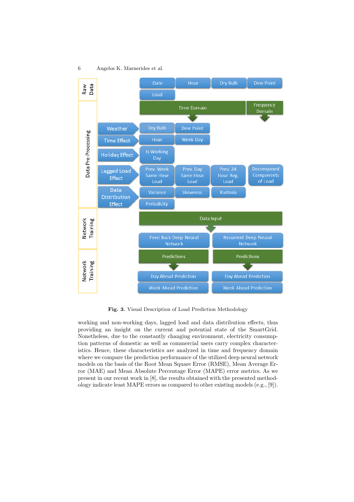

6 Angelos K. Marnerides et al.

Fig. 3. Visual Description of Load Prediction Methodology

working and non-working days, lagged load and data distribution effects, thus providing an insight on the current and potential state of the SmartGrid. Nonetheless, due to the constantly changing environment, electricity consumption patterns of domestic as well as commercial users carry complex characteristics. Hence, these characteristics are analyzed in time and frequency domain where we compare the prediction performance of the utilized deep neural network models on the basis of the Root Mean Square Error (RMSE), Mean Average Error (MAE) and Mean Absolute Percentage Error (MAPE) error metrics. As we present in our recent work in [8], the results obtained with the presented methodology indicate least MAPE errors as compared to other existing models (e.g., [9]).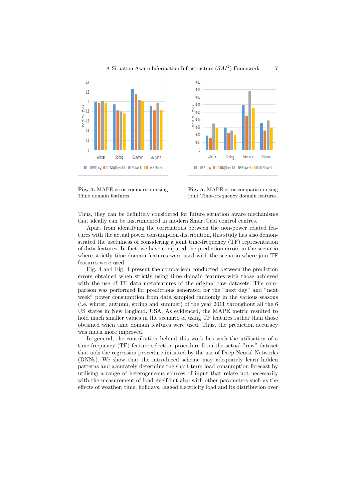

Fig. 4. MAPE error comparison using Time domain features.



Fig. 5. MAPE error comparison using joint Time-Frequency domain features.

Thus, they can be definitely considered for future situation aware mechanisms that ideally can be instrumented in modern SmartGrid control centres.

Apart from identifying the correlations between the non-power related features with the actual power consumption distribution, this study has also demonstrated the usefulness of considering a joint time-frequency (TF) representation of data features. In fact, we have compared the prediction errors in the scenario where strictly time domain features were used with the scenario where join TF features were used.

Fig. 4 and Fig. 4 present the comparison conducted between the prediction errors obtained when strictly using time domain features with those achieved with the use of TF data metafeatures of the original raw datasets. The comparison was performed for predictions generated for the "next day" and "next week" power consumption from data sampled randomly in the various seasons (i.e. winter, autumn, spring and summer) of the year 2011 throughout all the 6 US states in New England, USA. As evidenced, the MAPE metric resulted to hold much smaller values in the scenario of using TF features rather than those obtained when time domain features were used. Thus, the prediction accuracy was much more improved.

In general, the contribution behind this work lies with the utilisation of a time-frequency (TF) feature selection procedure from the actual "raw" dataset that aids the regression procedure initiated by the use of Deep Neural Networks (DNNs). We show that the introduced scheme may adequately learn hidden patterns and accurately determine the short-term load consumption forecast by utilising a range of heterogeneous sources of input that relate not necessarily with the measurement of load itself but also with other parameters such as the effects of weather, time, holidays, lagged electricity load and its distribution over

A Situation Aware Information Infrastructure (*SAI*<sup>2</sup>) Framework 7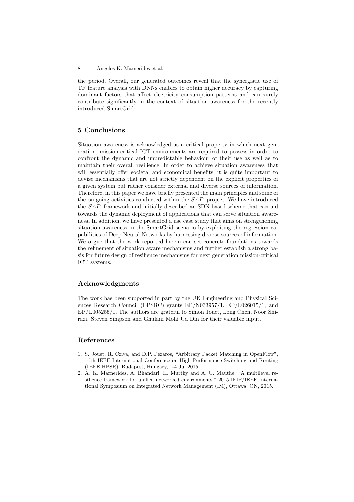#### 8 Angelos K. Marnerides et al.

the period. Overall, our generated outcomes reveal that the synergistic use of TF feature analysis with DNNs enables to obtain higher accuracy by capturing dominant factors that affect electricity consumption patterns and can surely contribute significantly in the context of situation awareness for the recently introduced SmartGrid.

### 5 Conclusions

Situation awareness is acknowledged as a critical property in which next generation, mission-critical ICT environments are required to possess in order to confront the dynamic and unpredictable behaviour of their use as well as to maintain their overall resilience. In order to achieve situation awareness that will essentially offer societal and economical benefits, it is quite important to devise mechanisms that are not strictly dependent on the explicit properties of a given system but rather consider external and diverse sources of information. Therefore, in this paper we have briefly presented the main principles and some of the on-going activities conducted within the *SAI*<sup>2</sup> project. We have introduced the *SAI*<sup>2</sup> framework and initially described an SDN-based scheme that can aid towards the dynamic deployment of applications that can serve situation awareness. In addition, we have presented a use case study that aims on strengthening situation awareness in the SmartGrid scenario by exploiting the regression capabilities of Deep Neural Networks by harnessing diverse sources of information. We argue that the work reported herein can set concrete foundations towards the refinement of situation aware mechanisms and further establish a strong basis for future design of resilience mechanisms for next generation mission-critical ICT systems.

## Acknowledgments

The work has been supported in part by the UK Engineering and Physical Sciences Research Council (EPSRC) grants EP/N033957/1, EP/L026015/1, and EP/L005255/1. The authors are grateful to Simon Jouet, Long Chen, Noor Shirazi, Steven Simpson and Ghulam Mohi Ud Din for their valuable input.

#### References

- 1. S. Jouet, R. Cziva, and D.P. Pezaros, "Arbitrary Packet Matching in OpenFlow", 16th IEEE International Conference on High Performance Switching and Routing (IEEE HPSR), Budapest, Hungary, 1-4 Jul 2015.
- 2. A. K. Marnerides, A. Bhandari, H. Murthy and A. U. Mauthe, "A multilevel resilience framework for unified networked environments," 2015 IFIP/IEEE International Symposium on Integrated Network Management (IM), Ottawa, ON, 2015.